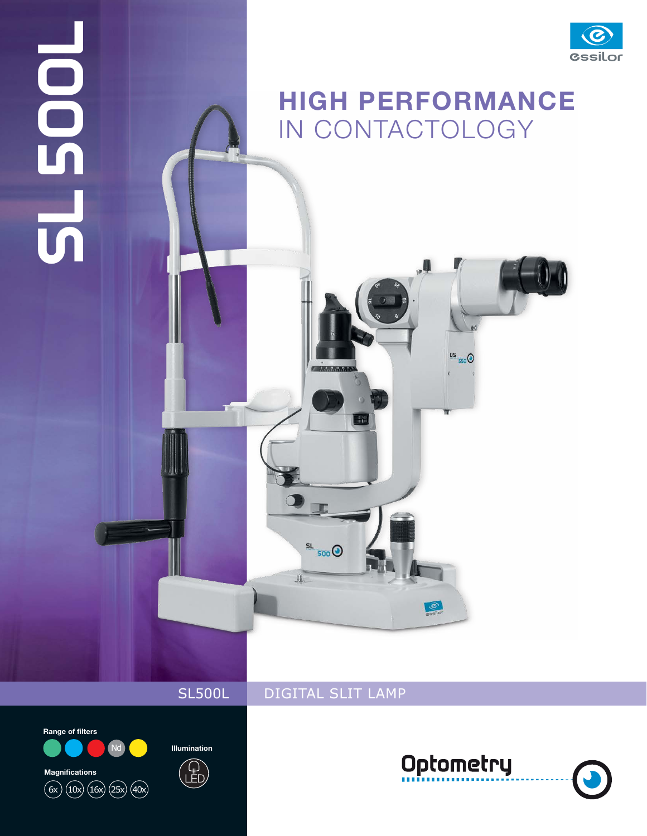

## HIGH PERFORMANCE IN CONTACTOLOGY

 $\frac{DS}{550}$ 

**C** 

SL500L DIGITAL SLIT LAMP

 $\overline{O}$ 

 ${\rm d} \Omega$ 

**JE** 

 $5000$ 

E



**SL 500L**

 $\overline{\mathbf{b}}$ 

**POOS**